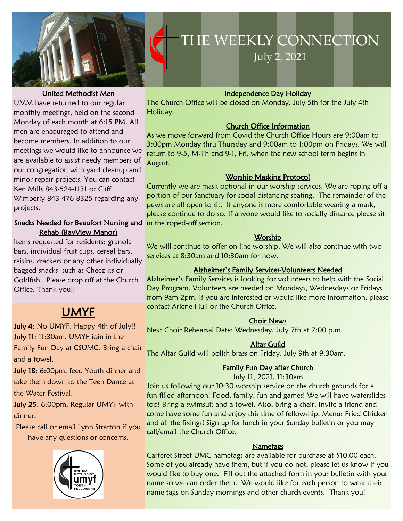

#### United Methodist Men

UMM have returned to our regular monthly meetings, held on the second Monday of each month [at 6:15 PM.](x-apple-data-detectors://1) All men are encouraged to attend and become members. In addition to our meetings we would like to announce we are available to assist needy members of our congregation with yard cleanup and minor repair projects. You can contact Ken Mills 843-524-1131 or Cliff Wimberly [843-476-8325](tel:843-476-8325) regarding any projects.

#### Snacks Needed for Beaufort Nursing and in the roped-off section. Rehab (BayView Manor)

Items requested for residents: granola bars, individual fruit cups, cereal bars, raisins, crackers or any other individually bagged snacks such as Cheez-its or Goldfish. Please drop off at the Church Office. Thank you!!

## UMYF

July 4: No UMYF, Happy 4th of July!! July 11: 11:30am, UMYF join in the Family Fun Day at CSUMC. Bring a chair and a towel.

July 18: 6:00pm, feed Youth dinner and take them down to the Teen Dance at the Water Festival.

July 25: 6:00pm, Regular UMYF with dinner.

Please call or email Lynn Stratton if you have any questions or concerns.



# **THE WEEKLY**  THE WEEKLY CONNECTION

**CONNECTION** July 2, 2021

#### Independence Day Holiday

The Church Office will be closed on Monday, July 5th for the July 4th Holiday.

#### Church Office Information

As we move forward from Covid the Church Office Hours are 9:00am to 3:00pm Monday thru Thursday and 9:00am to 1:00pm on Fridays. We will return to 9-5, M-Th and 9-1, Fri, when the new school term begins in August.

#### Worship Masking Protocol

Currently we are mask-optional in our worship services. We are roping off a portion of our Sanctuary for social-distancing seating. The remainder of the pews are all open to sit. If anyone is more comfortable wearing a mask, please continue to do so. If anyone would like to socially distance please sit

#### **Worship**

We will continue to offer on-line worship. We will also continue with two services at 8:30am and 10:30am for now.

#### Alzheimer's Family Services-Volunteers Needed

Alzheimer's Family Services is looking for volunteers to help with the Social Day Program. Volunteers are needed on Mondays, Wednesdays or Fridays from 9am-2pm. If you are interested or would like more information, please contact Arlene Hull or the Church Office.

#### Choir News

Next Choir Rehearsal Date: Wednesday, July 7th at 7:00 p.m.

#### Altar Guild

The Altar Guild will polish brass on Friday, July 9th at 9:30am.

#### Family Fun Day after Church

July 11, 2021, 11:30am

Join us following our 10:30 worship service on the church grounds for a fun-filled afternoon! Food, family, fun and games! We will have waterslides too! Bring a swimsuit and a towel. Also, bring a chair. Invite a friend and come have some fun and enjoy this time of fellowship. Menu: Fried Chicken and all the fixings! Sign up for lunch in your Sunday bulletin or you may call/email the Church Office.

#### **Nametags**

Carteret Street UMC nametags are available for purchase at \$10.00 each. Some of you already have them, but if you do not, please let us know if you would like to buy one. Fill out the attached form in your bulletin with your name so we can order them. We would like for each person to wear their name tags on Sunday mornings and other church events. Thank you!